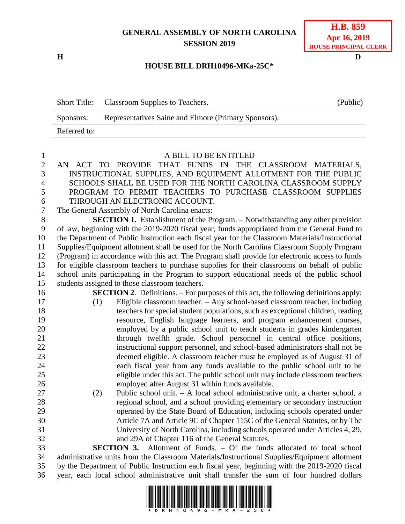## **GENERAL ASSEMBLY OF NORTH CAROLINA SESSION 2019**

**H D**

## **HOUSE BILL DRH10496-MKa-25C\***

|              | Short Title: Classroom Supplies to Teachers.         | (Public) |
|--------------|------------------------------------------------------|----------|
| Sponsors:    | Representatives Saine and Elmore (Primary Sponsors). |          |
| Referred to: |                                                      |          |

| $\mathbf{1}$     | A BILL TO BE ENTITLED                                                                           |  |  |
|------------------|-------------------------------------------------------------------------------------------------|--|--|
| $\overline{c}$   | THAT FUNDS IN THE CLASSROOM MATERIALS,<br>AN ACT TO PROVIDE                                     |  |  |
| $\overline{3}$   | INSTRUCTIONAL SUPPLIES, AND EQUIPMENT ALLOTMENT FOR THE PUBLIC                                  |  |  |
| $\overline{4}$   | SCHOOLS SHALL BE USED FOR THE NORTH CAROLINA CLASSROOM SUPPLY                                   |  |  |
| 5                | PROGRAM TO PERMIT TEACHERS TO PURCHASE CLASSROOM SUPPLIES                                       |  |  |
| 6                | THROUGH AN ELECTRONIC ACCOUNT.                                                                  |  |  |
| $\boldsymbol{7}$ | The General Assembly of North Carolina enacts:                                                  |  |  |
| $8\,$            | <b>SECTION 1.</b> Establishment of the Program. – Notwithstanding any other provision           |  |  |
| 9                | of law, beginning with the 2019-2020 fiscal year, funds appropriated from the General Fund to   |  |  |
| 10               | the Department of Public Instruction each fiscal year for the Classroom Materials/Instructional |  |  |
| 11               | Supplies/Equipment allotment shall be used for the North Carolina Classroom Supply Program      |  |  |
| 12               | (Program) in accordance with this act. The Program shall provide for electronic access to funds |  |  |
| 13               | for eligible classroom teachers to purchase supplies for their classrooms on behalf of public   |  |  |
| 14               | school units participating in the Program to support educational needs of the public school     |  |  |
| 15               | students assigned to those classroom teachers.                                                  |  |  |
| 16               | <b>SECTION 2.</b> Definitions. – For purposes of this act, the following definitions apply:     |  |  |
| 17               | Eligible classroom teacher. - Any school-based classroom teacher, including<br>(1)              |  |  |
| 18               | teachers for special student populations, such as exceptional children, reading                 |  |  |
| 19               | resource, English language learners, and program enhancement courses,                           |  |  |
| 20               | employed by a public school unit to teach students in grades kindergarten                       |  |  |
| 21               | through twelfth grade. School personnel in central office positions,                            |  |  |
| 22               | instructional support personnel, and school-based administrators shall not be                   |  |  |
| 23               | deemed eligible. A classroom teacher must be employed as of August 31 of                        |  |  |
| 24               | each fiscal year from any funds available to the public school unit to be                       |  |  |
| 25               | eligible under this act. The public school unit may include classroom teachers                  |  |  |
| 26               | employed after August 31 within funds available.                                                |  |  |
| 27               | Public school unit. - A local school administrative unit, a charter school, a<br>(2)            |  |  |
| 28               | regional school, and a school providing elementary or secondary instruction                     |  |  |
| 29               | operated by the State Board of Education, including schools operated under                      |  |  |
| 30               | Article 7A and Article 9C of Chapter 115C of the General Statutes, or by The                    |  |  |
| 31               | University of North Carolina, including schools operated under Articles 4, 29,                  |  |  |
| 32               | and 29A of Chapter 116 of the General Statutes.                                                 |  |  |
| 33               | <b>SECTION 3.</b> Allotment of Funds. – Of the funds allocated to local school                  |  |  |
| 34               | administrative units from the Classroom Materials/Instructional Supplies/Equipment allotment    |  |  |
| 35               | by the Department of Public Instruction each fiscal year, beginning with the 2019-2020 fiscal   |  |  |



year, each local school administrative unit shall transfer the sum of four hundred dollars